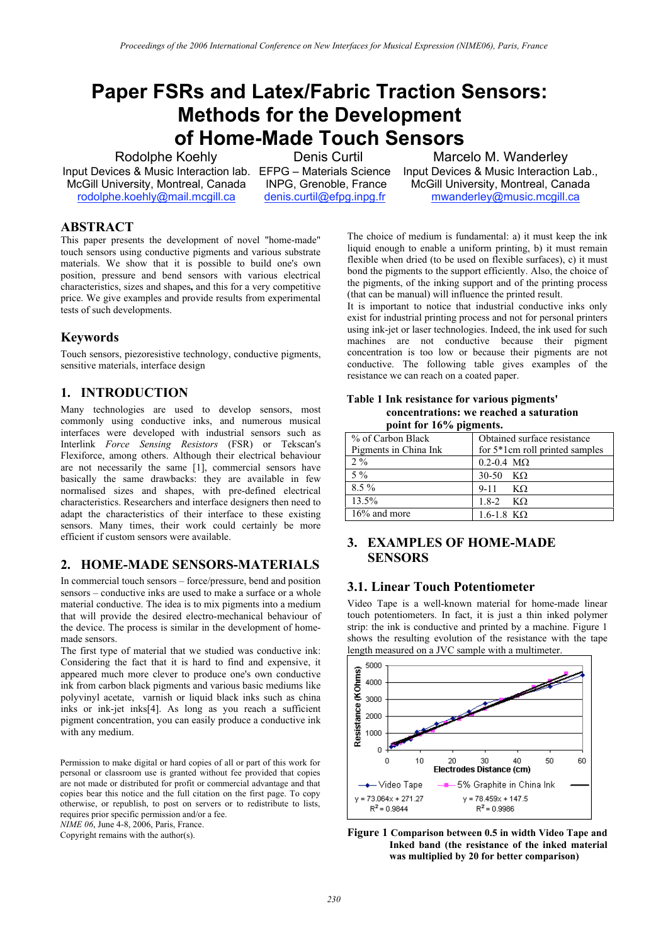# **Paper FSRs and Latex/Fabric Traction Sensors: Methods for the Development of Home-Made Touch Sensors**

Rodolphe Koehly Input Devices & Music Interaction lab. EFPG – Materials Science McGill University, Montreal, Canada rodolphe.koehly@mail.mcgill.ca

Denis Curtil

 INPG, Grenoble, France denis.curtil@efpg.inpg.fr

Marcelo M. Wanderley Input Devices & Music Interaction Lab., McGill University, Montreal, Canada mwanderley@music.mcgill.ca

## **ABSTRACT**

This paper presents the development of novel "home-made" touch sensors using conductive pigments and various substrate materials. We show that it is possible to build one's own position, pressure and bend sensors with various electrical characteristics, sizes and shapes**,** and this for a very competitive price. We give examples and provide results from experimental tests of such developments.

# **Keywords**

Touch sensors, piezoresistive technology, conductive pigments, sensitive materials, interface design

# **1. INTRODUCTION**

Many technologies are used to develop sensors, most commonly using conductive inks, and numerous musical interfaces were developed with industrial sensors such as Interlink *Force Sensing Resistors* (FSR) or Tekscan's Flexiforce, among others. Although their electrical behaviour are not necessarily the same [1], commercial sensors have basically the same drawbacks: they are available in few normalised sizes and shapes, with pre-defined electrical characteristics. Researchers and interface designers then need to adapt the characteristics of their interface to these existing sensors. Many times, their work could certainly be more efficient if custom sensors were available.

# **2. HOME-MADE SENSORS-MATERIALS**

In commercial touch sensors – force/pressure, bend and position sensors – conductive inks are used to make a surface or a whole material conductive. The idea is to mix pigments into a medium that will provide the desired electro-mechanical behaviour of the device. The process is similar in the development of homemade sensors.

The first type of material that we studied was conductive ink: Considering the fact that it is hard to find and expensive, it appeared much more clever to produce one's own conductive ink from carbon black pigments and various basic mediums like polyvinyl acetate, varnish or liquid black inks such as china inks or ink-jet inks[4]. As long as you reach a sufficient pigment concentration, you can easily produce a conductive ink with any medium.

Permission to make digital or hard copies of all or part of this work for personal or classroom use is granted without fee provided that copies are not made or distributed for profit or commercial advantage and that copies bear this notice and the full citation on the first page. To copy otherwise, or republish, to post on servers or to redistribute to lists, requires prior specific permission and/or a fee.

*NIME 06*, June 4-8, 2006, Paris, France.

flexible when dried (to be used on flexible surfaces), c) it must bond the pigments to the support efficiently. Also, the choice of the pigments, of the inking support and of the printing process (that can be manual) will influence the printed result. It is important to notice that industrial conductive inks only exist for industrial printing process and not for personal printers

The choice of medium is fundamental: a) it must keep the ink liquid enough to enable a uniform printing, b) it must remain

using ink-jet or laser technologies. Indeed, the ink used for such machines are not conductive because their pigment concentration is too low or because their pigments are not conductive. The following table gives examples of the resistance we can reach on a coated paper.

| Table 1 Ink resistance for various pigments' |
|----------------------------------------------|
| concentrations: we reached a saturation      |
| point for 16% pigments.                      |

| $\mu$ point for to $\sigma$ prements. |                                |  |
|---------------------------------------|--------------------------------|--|
| % of Carbon Black                     | Obtained surface resistance    |  |
| Pigments in China Ink                 | for 5*1cm roll printed samples |  |
| $2\%$                                 | $0.2 - 0.4$ M $\Omega$         |  |
| $5\%$                                 | $30-50$ KΩ                     |  |
| 8.5 %                                 | $9-11$ KQ                      |  |
| 13.5%                                 | $1.8-2$ KΩ                     |  |
| $16\%$ and more                       | $1.6 - 1.8$ KΩ                 |  |

# **3. EXAMPLES OF HOME-MADE SENSORS**

# **3.1. Linear Touch Potentiometer**

Video Tape is a well-known material for home-made linear touch potentiometers. In fact, it is just a thin inked polymer strip: the ink is conductive and printed by a machine. Figure 1 shows the resulting evolution of the resistance with the tape length measured on a JVC sample with a multimeter.



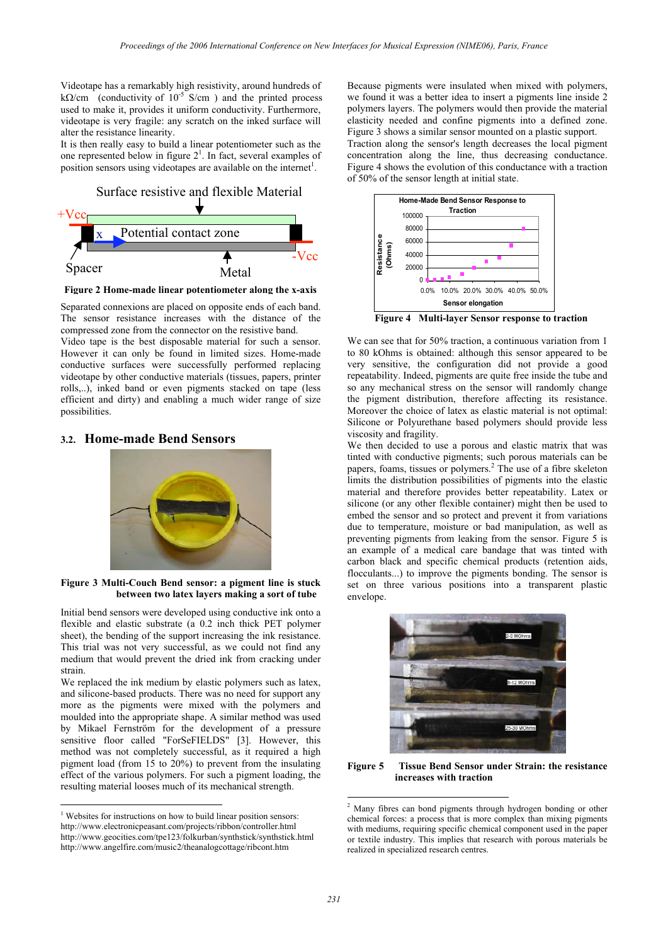Videotape has a remarkably high resistivity, around hundreds of k $\Omega$ /cm (conductivity of 10<sup>-5</sup> S/cm) and the printed process used to make it, provides it uniform conductivity. Furthermore, videotape is very fragile: any scratch on the inked surface will alter the resistance linearity.

It is then really easy to build a linear potentiometer such as the one represented below in figure  $2<sup>1</sup>$ . In fact, several examples of position sensors using videotapes are available on the internet<sup>1</sup>.



**Figure 2 Home-made linear potentiometer along the x-axis** 

Separated connexions are placed on opposite ends of each band. The sensor resistance increases with the distance of the compressed zone from the connector on the resistive band.

Video tape is the best disposable material for such a sensor. However it can only be found in limited sizes. Home-made conductive surfaces were successfully performed replacing videotape by other conductive materials (tissues, papers, printer rolls,..), inked band or even pigments stacked on tape (less efficient and dirty) and enabling a much wider range of size possibilities.

### **3.2. Home-made Bend Sensors**



#### **Figure 3 Multi-Couch Bend sensor: a pigment line is stuck between two latex layers making a sort of tube**

Initial bend sensors were developed using conductive ink onto a flexible and elastic substrate (a 0.2 inch thick PET polymer sheet), the bending of the support increasing the ink resistance. This trial was not very successful, as we could not find any medium that would prevent the dried ink from cracking under strain.

We replaced the ink medium by elastic polymers such as latex, and silicone-based products. There was no need for support any more as the pigments were mixed with the polymers and moulded into the appropriate shape. A similar method was used by Mikael Fernström for the development of a pressure sensitive floor called "ForSeFIELDS" [3]. However, this method was not completely successful, as it required a high pigment load (from 15 to 20%) to prevent from the insulating effect of the various polymers. For such a pigment loading, the resulting material looses much of its mechanical strength.

 $\overline{a}$ 

Because pigments were insulated when mixed with polymers, we found it was a better idea to insert a pigments line inside 2 polymers layers. The polymers would then provide the material elasticity needed and confine pigments into a defined zone. Figure 3 shows a similar sensor mounted on a plastic support. Traction along the sensor's length decreases the local pigment concentration along the line, thus decreasing conductance. Figure 4 shows the evolution of this conductance with a traction of 50% of the sensor length at initial state.



**Figure 4 Multi-layer Sensor response to traction** 

We can see that for 50% traction, a continuous variation from 1 to 80 kOhms is obtained: although this sensor appeared to be very sensitive, the configuration did not provide a good repeatability. Indeed, pigments are quite free inside the tube and so any mechanical stress on the sensor will randomly change the pigment distribution, therefore affecting its resistance. Moreover the choice of latex as elastic material is not optimal: Silicone or Polyurethane based polymers should provide less viscosity and fragility.

We then decided to use a porous and elastic matrix that was tinted with conductive pigments; such porous materials can be papers, foams, tissues or polymers.<sup>2</sup> The use of a fibre skeleton limits the distribution possibilities of pigments into the elastic material and therefore provides better repeatability. Latex or silicone (or any other flexible container) might then be used to embed the sensor and so protect and prevent it from variations due to temperature, moisture or bad manipulation, as well as preventing pigments from leaking from the sensor. Figure 5 is an example of a medical care bandage that was tinted with carbon black and specific chemical products (retention aids, flocculants...) to improve the pigments bonding. The sensor is set on three various positions into a transparent plastic envelope.



**Figure 5 Tissue Bend Sensor under Strain: the resistance increases with traction** 

<sup>&</sup>lt;sup>1</sup> Websites for instructions on how to build linear position sensors: http://www.electronicpeasant.com/projects/ribbon/controller.html http://www.geocities.com/tpe123/folkurban/synthstick/synthstick.html http://www.angelfire.com/music2/theanalogcottage/ribcont.htm

 2 Many fibres can bond pigments through hydrogen bonding or other chemical forces: a process that is more complex than mixing pigments with mediums, requiring specific chemical component used in the paper or textile industry. This implies that research with porous materials be realized in specialized research centres.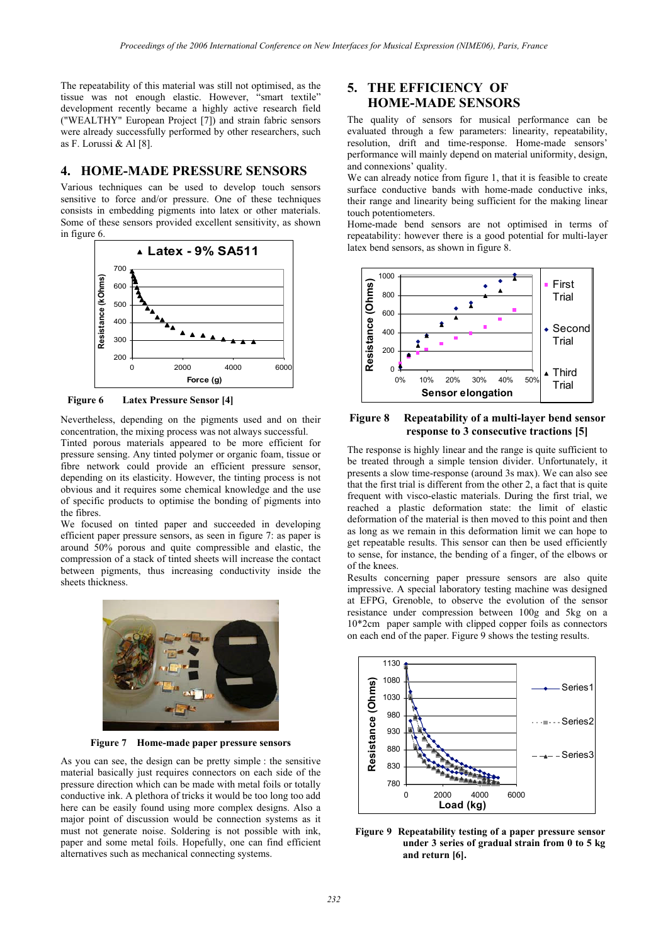The repeatability of this material was still not optimised, as the tissue was not enough elastic. However, "smart textile" development recently became a highly active research field ("WEALTHY" European Project [7]) and strain fabric sensors were already successfully performed by other researchers, such as F. Lorussi & Al [8].

## **4. HOME-MADE PRESSURE SENSORS**

Various techniques can be used to develop touch sensors sensitive to force and/or pressure. One of these techniques consists in embedding pigments into latex or other materials. Some of these sensors provided excellent sensitivity, as shown in figure 6.



**Figure 6 Latex Pressure Sensor [4]** 

Nevertheless, depending on the pigments used and on their concentration, the mixing process was not always successful. Tinted porous materials appeared to be more efficient for pressure sensing. Any tinted polymer or organic foam, tissue or fibre network could provide an efficient pressure sensor, depending on its elasticity. However, the tinting process is not obvious and it requires some chemical knowledge and the use of specific products to optimise the bonding of pigments into the fibres.

We focused on tinted paper and succeeded in developing efficient paper pressure sensors, as seen in figure 7: as paper is around 50% porous and quite compressible and elastic, the compression of a stack of tinted sheets will increase the contact between pigments, thus increasing conductivity inside the sheets thickness.



**Figure 7 Home-made paper pressure sensors** 

As you can see, the design can be pretty simple : the sensitive material basically just requires connectors on each side of the pressure direction which can be made with metal foils or totally conductive ink. A plethora of tricks it would be too long too add here can be easily found using more complex designs. Also a major point of discussion would be connection systems as it must not generate noise. Soldering is not possible with ink, paper and some metal foils. Hopefully, one can find efficient alternatives such as mechanical connecting systems.

# **5. THE EFFICIENCY OF HOME-MADE SENSORS**

The quality of sensors for musical performance can be evaluated through a few parameters: linearity, repeatability, resolution, drift and time-response. Home-made sensors' performance will mainly depend on material uniformity, design, and connexions' quality.

We can already notice from figure 1, that it is feasible to create surface conductive bands with home-made conductive inks, their range and linearity being sufficient for the making linear touch potentiometers.

Home-made bend sensors are not optimised in terms of repeatability: however there is a good potential for multi-layer latex bend sensors, as shown in figure 8.



#### **Figure 8 Repeatability of a multi-layer bend sensor response to 3 consecutive tractions [5]**

The response is highly linear and the range is quite sufficient to be treated through a simple tension divider. Unfortunately, it presents a slow time-response (around 3s max). We can also see that the first trial is different from the other 2, a fact that is quite frequent with visco-elastic materials. During the first trial, we reached a plastic deformation state: the limit of elastic deformation of the material is then moved to this point and then as long as we remain in this deformation limit we can hope to get repeatable results. This sensor can then be used efficiently to sense, for instance, the bending of a finger, of the elbows or of the knees.

Results concerning paper pressure sensors are also quite impressive. A special laboratory testing machine was designed at EFPG, Grenoble, to observe the evolution of the sensor resistance under compression between 100g and 5kg on a 10\*2cm paper sample with clipped copper foils as connectors on each end of the paper. Figure 9 shows the testing results.



**Figure 9 Repeatability testing of a paper pressure sensor under 3 series of gradual strain from 0 to 5 kg and return [6].**